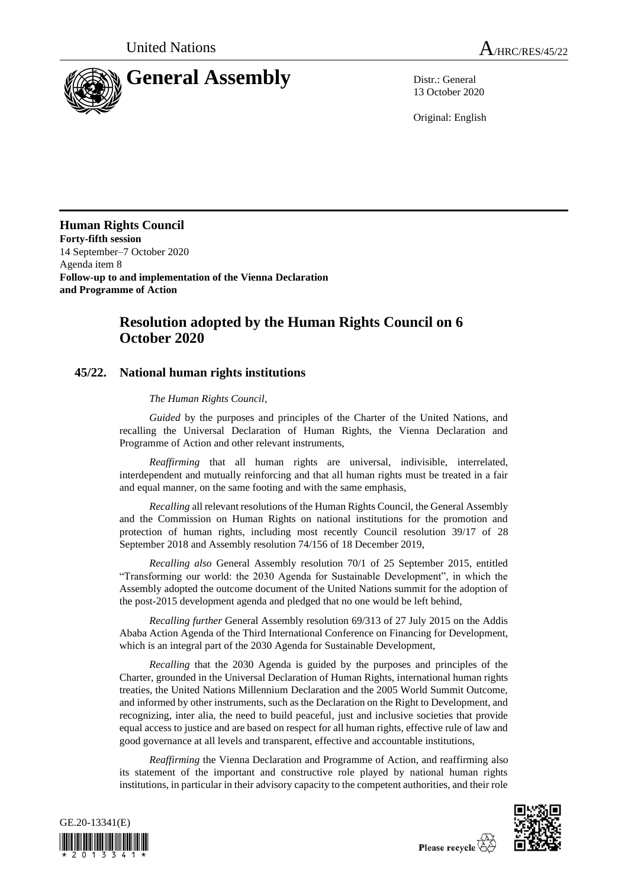

13 October 2020

Original: English

**Human Rights Council Forty-fifth session** 14 September–7 October 2020 Agenda item 8 **Follow-up to and implementation of the Vienna Declaration and Programme of Action**

## **Resolution adopted by the Human Rights Council on 6 October 2020**

## **45/22. National human rights institutions**

## *The Human Rights Council*,

*Guided* by the purposes and principles of the Charter of the United Nations, and recalling the Universal Declaration of Human Rights, the Vienna Declaration and Programme of Action and other relevant instruments,

*Reaffirming* that all human rights are universal, indivisible, interrelated, interdependent and mutually reinforcing and that all human rights must be treated in a fair and equal manner, on the same footing and with the same emphasis,

*Recalling* all relevant resolutions of the Human Rights Council, the General Assembly and the Commission on Human Rights on national institutions for the promotion and protection of human rights, including most recently Council resolution 39/17 of 28 September 2018 and Assembly resolution 74/156 of 18 December 2019,

*Recalling also* General Assembly resolution 70/1 of 25 September 2015, entitled "Transforming our world: the 2030 Agenda for Sustainable Development", in which the Assembly adopted the outcome document of the United Nations summit for the adoption of the post-2015 development agenda and pledged that no one would be left behind,

*Recalling further* General Assembly resolution 69/313 of 27 July 2015 on the Addis Ababa Action Agenda of the Third International Conference on Financing for Development, which is an integral part of the 2030 Agenda for Sustainable Development,

*Recalling* that the 2030 Agenda is guided by the purposes and principles of the Charter, grounded in the Universal Declaration of Human Rights, international human rights treaties, the United Nations Millennium Declaration and the 2005 World Summit Outcome, and informed by other instruments, such as the Declaration on the Right to Development, and recognizing, inter alia, the need to build peaceful, just and inclusive societies that provide equal access to justice and are based on respect for all human rights, effective rule of law and good governance at all levels and transparent, effective and accountable institutions,

*Reaffirming* the Vienna Declaration and Programme of Action, and reaffirming also its statement of the important and constructive role played by national human rights institutions, in particular in their advisory capacity to the competent authorities, and their role



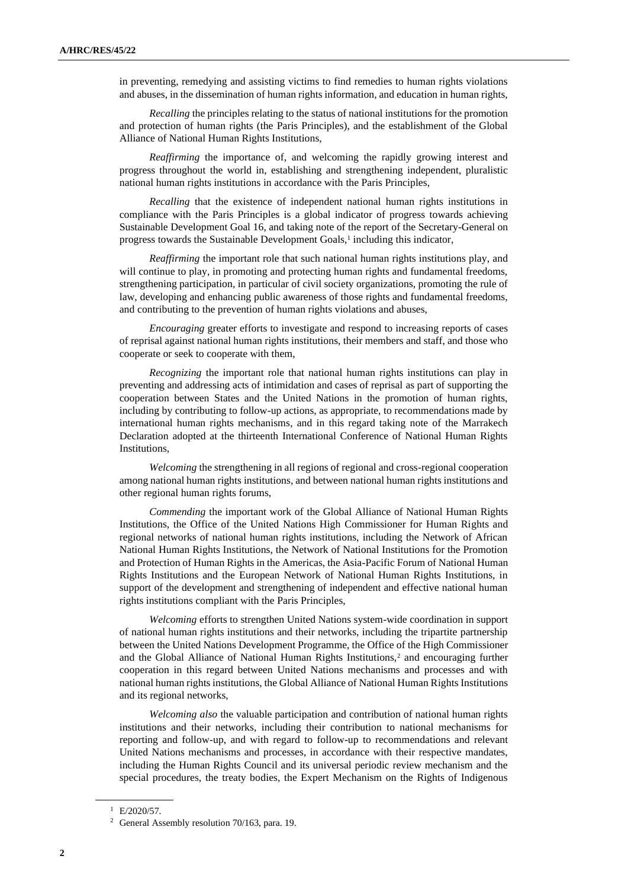in preventing, remedying and assisting victims to find remedies to human rights violations and abuses, in the dissemination of human rights information, and education in human rights,

*Recalling* the principles relating to the status of national institutions for the promotion and protection of human rights (the Paris Principles), and the establishment of the Global Alliance of National Human Rights Institutions,

*Reaffirming* the importance of, and welcoming the rapidly growing interest and progress throughout the world in, establishing and strengthening independent, pluralistic national human rights institutions in accordance with the Paris Principles,

*Recalling* that the existence of independent national human rights institutions in compliance with the Paris Principles is a global indicator of progress towards achieving Sustainable Development Goal 16, and taking note of the report of the Secretary-General on progress towards the Sustainable Development Goals,<sup>1</sup> including this indicator,

*Reaffirming* the important role that such national human rights institutions play, and will continue to play, in promoting and protecting human rights and fundamental freedoms, strengthening participation, in particular of civil society organizations, promoting the rule of law, developing and enhancing public awareness of those rights and fundamental freedoms, and contributing to the prevention of human rights violations and abuses,

*Encouraging* greater efforts to investigate and respond to increasing reports of cases of reprisal against national human rights institutions, their members and staff, and those who cooperate or seek to cooperate with them,

*Recognizing* the important role that national human rights institutions can play in preventing and addressing acts of intimidation and cases of reprisal as part of supporting the cooperation between States and the United Nations in the promotion of human rights, including by contributing to follow-up actions, as appropriate, to recommendations made by international human rights mechanisms, and in this regard taking note of the Marrakech Declaration adopted at the thirteenth International Conference of National Human Rights Institutions,

*Welcoming* the strengthening in all regions of regional and cross-regional cooperation among national human rights institutions, and between national human rights institutions and other regional human rights forums,

*Commending* the important work of the Global Alliance of National Human Rights Institutions, the Office of the United Nations High Commissioner for Human Rights and regional networks of national human rights institutions, including the Network of African National Human Rights Institutions, the Network of National Institutions for the Promotion and Protection of Human Rights in the Americas, the Asia-Pacific Forum of National Human Rights Institutions and the European Network of National Human Rights Institutions, in support of the development and strengthening of independent and effective national human rights institutions compliant with the Paris Principles,

*Welcoming* efforts to strengthen United Nations system-wide coordination in support of national human rights institutions and their networks, including the tripartite partnership between the United Nations Development Programme, the Office of the High Commissioner and the Global Alliance of National Human Rights Institutions,<sup>2</sup> and encouraging further cooperation in this regard between United Nations mechanisms and processes and with national human rights institutions, the Global Alliance of National Human Rights Institutions and its regional networks,

*Welcoming also* the valuable participation and contribution of national human rights institutions and their networks, including their contribution to national mechanisms for reporting and follow-up, and with regard to follow-up to recommendations and relevant United Nations mechanisms and processes, in accordance with their respective mandates, including the Human Rights Council and its universal periodic review mechanism and the special procedures, the treaty bodies, the Expert Mechanism on the Rights of Indigenous

 $^1$  E/2020/57.

<sup>2</sup> General Assembly resolution 70/163, para. 19.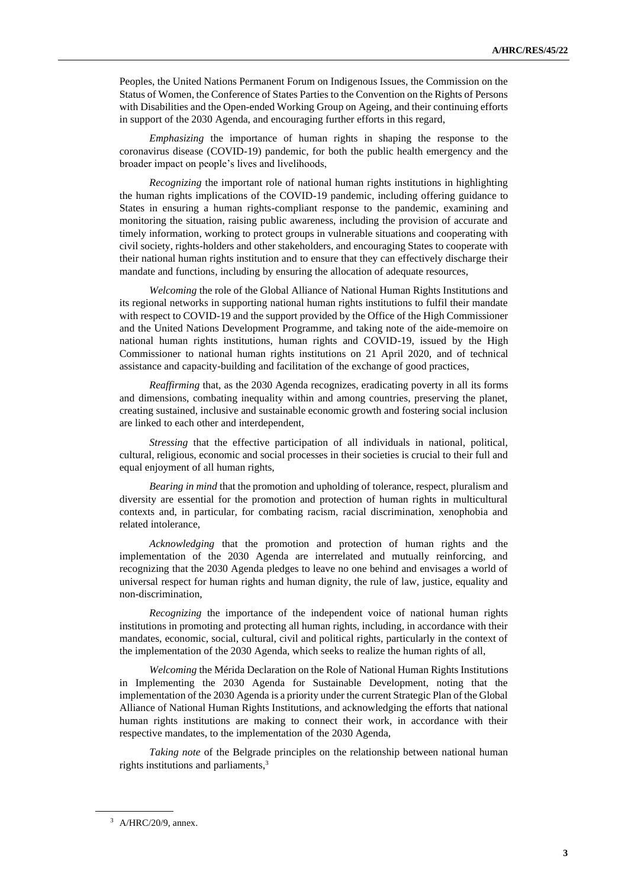Peoples, the United Nations Permanent Forum on Indigenous Issues, the Commission on the Status of Women, the Conference of States Parties to the Convention on the Rights of Persons with Disabilities and the Open-ended Working Group on Ageing, and their continuing efforts in support of the 2030 Agenda, and encouraging further efforts in this regard,

*Emphasizing* the importance of human rights in shaping the response to the coronavirus disease (COVID-19) pandemic, for both the public health emergency and the broader impact on people's lives and livelihoods,

*Recognizing* the important role of national human rights institutions in highlighting the human rights implications of the COVID-19 pandemic, including offering guidance to States in ensuring a human rights-compliant response to the pandemic, examining and monitoring the situation, raising public awareness, including the provision of accurate and timely information, working to protect groups in vulnerable situations and cooperating with civil society, rights-holders and other stakeholders, and encouraging States to cooperate with their national human rights institution and to ensure that they can effectively discharge their mandate and functions, including by ensuring the allocation of adequate resources,

*Welcoming* the role of the Global Alliance of National Human Rights Institutions and its regional networks in supporting national human rights institutions to fulfil their mandate with respect to COVID-19 and the support provided by the Office of the High Commissioner and the United Nations Development Programme, and taking note of the aide-memoire on national human rights institutions, human rights and COVID-19, issued by the High Commissioner to national human rights institutions on 21 April 2020, and of technical assistance and capacity-building and facilitation of the exchange of good practices,

*Reaffirming* that, as the 2030 Agenda recognizes, eradicating poverty in all its forms and dimensions, combating inequality within and among countries, preserving the planet, creating sustained, inclusive and sustainable economic growth and fostering social inclusion are linked to each other and interdependent,

*Stressing* that the effective participation of all individuals in national, political, cultural, religious, economic and social processes in their societies is crucial to their full and equal enjoyment of all human rights,

*Bearing in mind* that the promotion and upholding of tolerance, respect, pluralism and diversity are essential for the promotion and protection of human rights in multicultural contexts and, in particular, for combating racism, racial discrimination, xenophobia and related intolerance,

*Acknowledging* that the promotion and protection of human rights and the implementation of the 2030 Agenda are interrelated and mutually reinforcing, and recognizing that the 2030 Agenda pledges to leave no one behind and envisages a world of universal respect for human rights and human dignity, the rule of law, justice, equality and non-discrimination,

*Recognizing* the importance of the independent voice of national human rights institutions in promoting and protecting all human rights, including, in accordance with their mandates, economic, social, cultural, civil and political rights, particularly in the context of the implementation of the 2030 Agenda, which seeks to realize the human rights of all,

*Welcoming* the Mérida Declaration on the Role of National Human Rights Institutions in Implementing the 2030 Agenda for Sustainable Development, noting that the implementation of the 2030 Agenda is a priority under the current Strategic Plan of the Global Alliance of National Human Rights Institutions, and acknowledging the efforts that national human rights institutions are making to connect their work, in accordance with their respective mandates, to the implementation of the 2030 Agenda,

*Taking note* of the Belgrade principles on the relationship between national human rights institutions and parliaments, 3

<sup>3</sup> A/HRC/20/9, annex.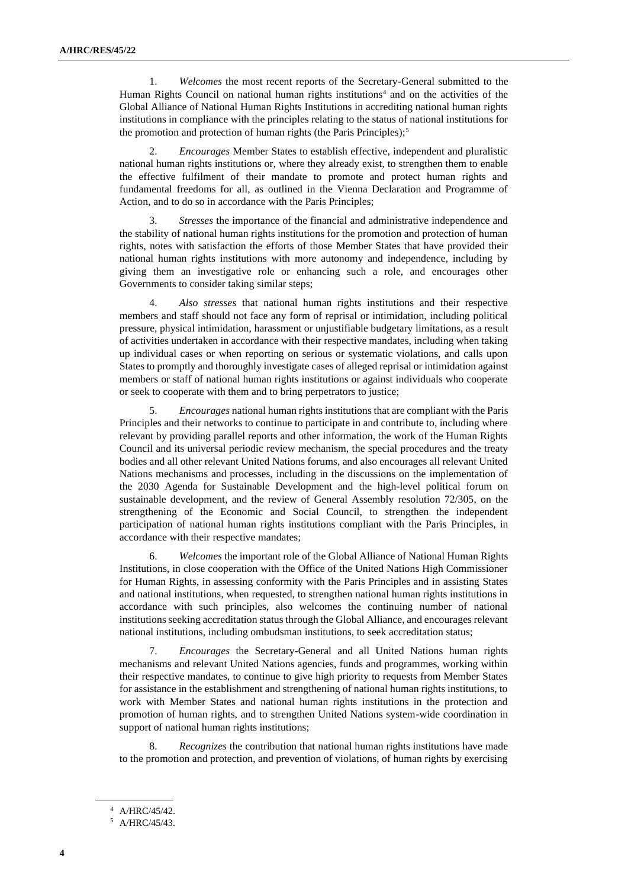1. *Welcomes* the most recent reports of the Secretary-General submitted to the Human Rights Council on national human rights institutions<sup>4</sup> and on the activities of the Global Alliance of National Human Rights Institutions in accrediting national human rights institutions in compliance with the principles relating to the status of national institutions for the promotion and protection of human rights (the Paris Principles);<sup>5</sup>

2. *Encourages* Member States to establish effective, independent and pluralistic national human rights institutions or, where they already exist, to strengthen them to enable the effective fulfilment of their mandate to promote and protect human rights and fundamental freedoms for all, as outlined in the Vienna Declaration and Programme of Action, and to do so in accordance with the Paris Principles;

3. *Stresses* the importance of the financial and administrative independence and the stability of national human rights institutions for the promotion and protection of human rights, notes with satisfaction the efforts of those Member States that have provided their national human rights institutions with more autonomy and independence, including by giving them an investigative role or enhancing such a role, and encourages other Governments to consider taking similar steps;

4. *Also stresses* that national human rights institutions and their respective members and staff should not face any form of reprisal or intimidation, including political pressure, physical intimidation, harassment or unjustifiable budgetary limitations, as a result of activities undertaken in accordance with their respective mandates, including when taking up individual cases or when reporting on serious or systematic violations, and calls upon States to promptly and thoroughly investigate cases of alleged reprisal or intimidation against members or staff of national human rights institutions or against individuals who cooperate or seek to cooperate with them and to bring perpetrators to justice;

5. *Encourages* national human rights institutions that are compliant with the Paris Principles and their networks to continue to participate in and contribute to, including where relevant by providing parallel reports and other information, the work of the Human Rights Council and its universal periodic review mechanism, the special procedures and the treaty bodies and all other relevant United Nations forums, and also encourages all relevant United Nations mechanisms and processes, including in the discussions on the implementation of the 2030 Agenda for Sustainable Development and the high-level political forum on sustainable development, and the review of General Assembly resolution 72/305, on the strengthening of the Economic and Social Council, to strengthen the independent participation of national human rights institutions compliant with the Paris Principles, in accordance with their respective mandates;

6. *Welcomes* the important role of the Global Alliance of National Human Rights Institutions, in close cooperation with the Office of the United Nations High Commissioner for Human Rights, in assessing conformity with the Paris Principles and in assisting States and national institutions, when requested, to strengthen national human rights institutions in accordance with such principles, also welcomes the continuing number of national institutions seeking accreditation status through the Global Alliance, and encourages relevant national institutions, including ombudsman institutions, to seek accreditation status;

7. *Encourages* the Secretary-General and all United Nations human rights mechanisms and relevant United Nations agencies, funds and programmes, working within their respective mandates, to continue to give high priority to requests from Member States for assistance in the establishment and strengthening of national human rights institutions, to work with Member States and national human rights institutions in the protection and promotion of human rights, and to strengthen United Nations system-wide coordination in support of national human rights institutions;

8. *Recognizes* the contribution that national human rights institutions have made to the promotion and protection, and prevention of violations, of human rights by exercising

<sup>4</sup> A/HRC/45/42.

<sup>5</sup> A/HRC/45/43.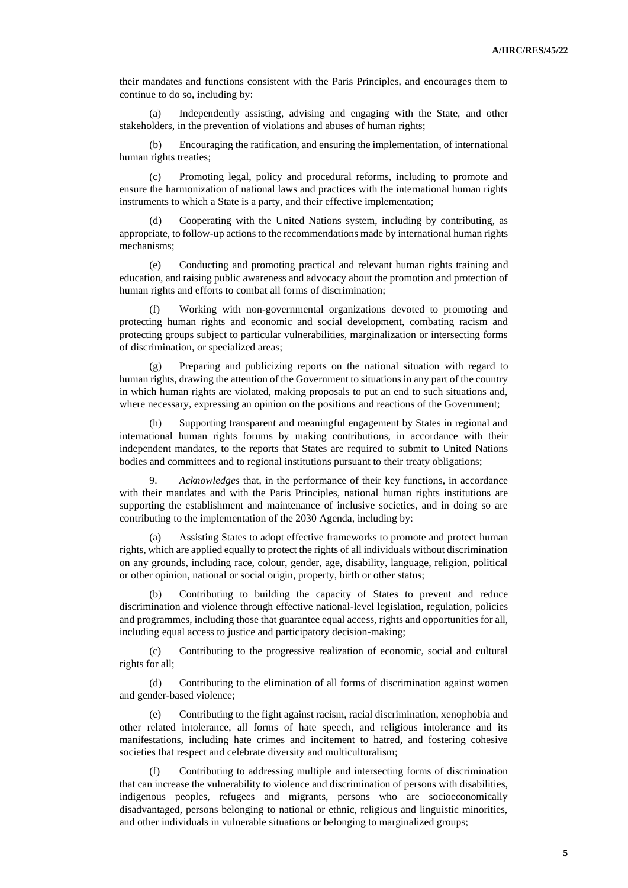their mandates and functions consistent with the Paris Principles, and encourages them to continue to do so, including by:

(a) Independently assisting, advising and engaging with the State, and other stakeholders, in the prevention of violations and abuses of human rights;

(b) Encouraging the ratification, and ensuring the implementation, of international human rights treaties;

(c) Promoting legal, policy and procedural reforms, including to promote and ensure the harmonization of national laws and practices with the international human rights instruments to which a State is a party, and their effective implementation;

(d) Cooperating with the United Nations system, including by contributing, as appropriate, to follow-up actions to the recommendations made by international human rights mechanisms;

(e) Conducting and promoting practical and relevant human rights training and education, and raising public awareness and advocacy about the promotion and protection of human rights and efforts to combat all forms of discrimination;

(f) Working with non-governmental organizations devoted to promoting and protecting human rights and economic and social development, combating racism and protecting groups subject to particular vulnerabilities, marginalization or intersecting forms of discrimination, or specialized areas;

(g) Preparing and publicizing reports on the national situation with regard to human rights, drawing the attention of the Government to situations in any part of the country in which human rights are violated, making proposals to put an end to such situations and, where necessary, expressing an opinion on the positions and reactions of the Government;

(h) Supporting transparent and meaningful engagement by States in regional and international human rights forums by making contributions, in accordance with their independent mandates, to the reports that States are required to submit to United Nations bodies and committees and to regional institutions pursuant to their treaty obligations;

9. *Acknowledges* that, in the performance of their key functions, in accordance with their mandates and with the Paris Principles, national human rights institutions are supporting the establishment and maintenance of inclusive societies, and in doing so are contributing to the implementation of the 2030 Agenda, including by:

(a) Assisting States to adopt effective frameworks to promote and protect human rights, which are applied equally to protect the rights of all individuals without discrimination on any grounds, including race, colour, gender, age, disability, language, religion, political or other opinion, national or social origin, property, birth or other status;

(b) Contributing to building the capacity of States to prevent and reduce discrimination and violence through effective national-level legislation, regulation, policies and programmes, including those that guarantee equal access, rights and opportunities for all, including equal access to justice and participatory decision-making;

(c) Contributing to the progressive realization of economic, social and cultural rights for all;

(d) Contributing to the elimination of all forms of discrimination against women and gender-based violence;

(e) Contributing to the fight against racism, racial discrimination, xenophobia and other related intolerance, all forms of hate speech, and religious intolerance and its manifestations, including hate crimes and incitement to hatred, and fostering cohesive societies that respect and celebrate diversity and multiculturalism;

(f) Contributing to addressing multiple and intersecting forms of discrimination that can increase the vulnerability to violence and discrimination of persons with disabilities, indigenous peoples, refugees and migrants, persons who are socioeconomically disadvantaged, persons belonging to national or ethnic, religious and linguistic minorities, and other individuals in vulnerable situations or belonging to marginalized groups;